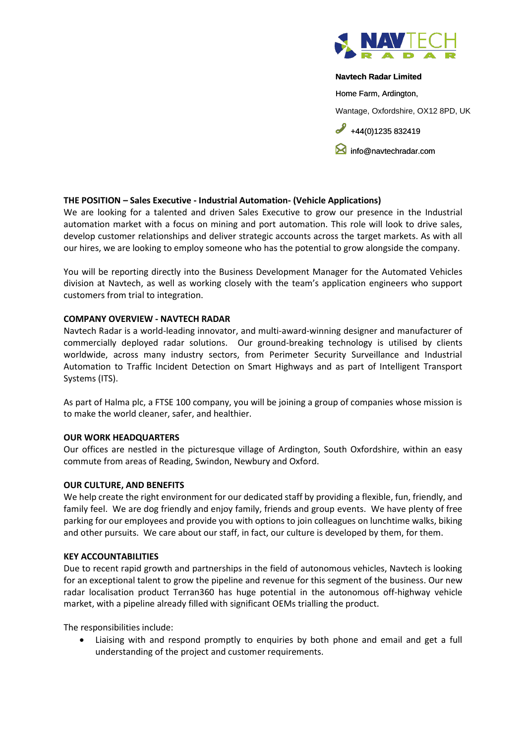

#### **Navtech Radar Limited**

Home Farm, Ardington,

Wantage, Oxfordshire, OX12 8PD, UK

 $+44(0)1235832419$ 

**I** [info@navtechradar.com](mailto:info@navtechradar.com)

### **THE POSITION – Sales Executive - Industrial Automation- (Vehicle Applications)**

We are looking for a talented and driven Sales Executive to grow our presence in the Industrial automation market with a focus on mining and port automation. This role will look to drive sales, develop customer relationships and deliver strategic accounts across the target markets. As with all our hires, we are looking to employ someone who has the potential to grow alongside the company.

You will be reporting directly into the Business Development Manager for the Automated Vehicles division at Navtech, as well as working closely with the team's application engineers who support customers from trial to integration.

### **COMPANY OVERVIEW - NAVTECH RADAR**

Navtech Radar is a world-leading innovator, and multi-award-winning designer and manufacturer of commercially deployed radar solutions. Our ground-breaking technology is utilised by clients worldwide, across many industry sectors, from Perimeter Security Surveillance and Industrial Automation to Traffic Incident Detection on Smart Highways and as part of Intelligent Transport Systems (ITS).

As part of Halma plc, a FTSE 100 company, you will be joining a group of companies whose mission is to make the world cleaner, safer, and healthier.

#### **OUR WORK HEADQUARTERS**

Our offices are nestled in the picturesque village of Ardington, South Oxfordshire, within an easy commute from areas of Reading, Swindon, Newbury and Oxford.

#### **OUR CULTURE, AND BENEFITS**

We help create the right environment for our dedicated staff by providing a flexible, fun, friendly, and family feel. We are dog friendly and enjoy family, friends and group events. We have plenty of free parking for our employees and provide you with options to join colleagues on lunchtime walks, biking and other pursuits. We care about our staff, in fact, our culture is developed by them, for them.

# **KEY ACCOUNTABILITIES**

Due to recent rapid growth and partnerships in the field of autonomous vehicles, Navtech is looking for an exceptional talent to grow the pipeline and revenue for this segment of the business. Our new radar localisation product Terran360 has huge potential in the autonomous off-highway vehicle market, with a pipeline already filled with significant OEMs trialling the product.

The responsibilities include:

• Liaising with and respond promptly to enquiries by both phone and email and get a full understanding of the project and customer requirements.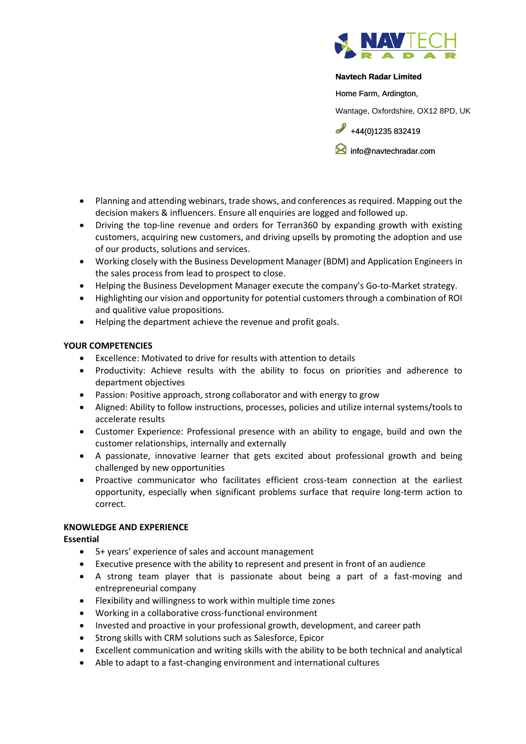

#### **Navtech Radar Limited**

Home Farm, Ardington,

Wantage, Oxfordshire, OX12 8PD, UK

 $+44(0)1235832419$ 

[info@navtechradar.com](mailto:info@navtechradar.com)

- Planning and attending webinars, trade shows, and conferences as required. Mapping out the decision makers & influencers. Ensure all enquiries are logged and followed up.
- Driving the top-line revenue and orders for Terran360 by expanding growth with existing customers, acquiring new customers, and driving upsells by promoting the adoption and use of our products, solutions and services.
- Working closely with the Business Development Manager (BDM) and Application Engineers in the sales process from lead to prospect to close.
- Helping the Business Development Manager execute the company's Go-to-Market strategy.
- Highlighting our vision and opportunity for potential customers through a combination of ROI and qualitive value propositions.
- Helping the department achieve the revenue and profit goals.

### **YOUR COMPETENCIES**

- Excellence: Motivated to drive for results with attention to details
- Productivity: Achieve results with the ability to focus on priorities and adherence to department objectives
- Passion: Positive approach, strong collaborator and with energy to grow
- Aligned: Ability to follow instructions, processes, policies and utilize internal systems/tools to accelerate results
- Customer Experience: Professional presence with an ability to engage, build and own the customer relationships, internally and externally
- A passionate, innovative learner that gets excited about professional growth and being challenged by new opportunities
- Proactive communicator who facilitates efficient cross-team connection at the earliest opportunity, especially when significant problems surface that require long-term action to correct.

## **KNOWLEDGE AND EXPERIENCE**

**Essential**

- 5+ years' experience of sales and account management
- Executive presence with the ability to represent and present in front of an audience
- A strong team player that is passionate about being a part of a fast-moving and entrepreneurial company
- Flexibility and willingness to work within multiple time zones
- Working in a collaborative cross-functional environment
- Invested and proactive in your professional growth, development, and career path
- Strong skills with CRM solutions such as Salesforce, Epicor
- Excellent communication and writing skills with the ability to be both technical and analytical
- Able to adapt to a fast-changing environment and international cultures